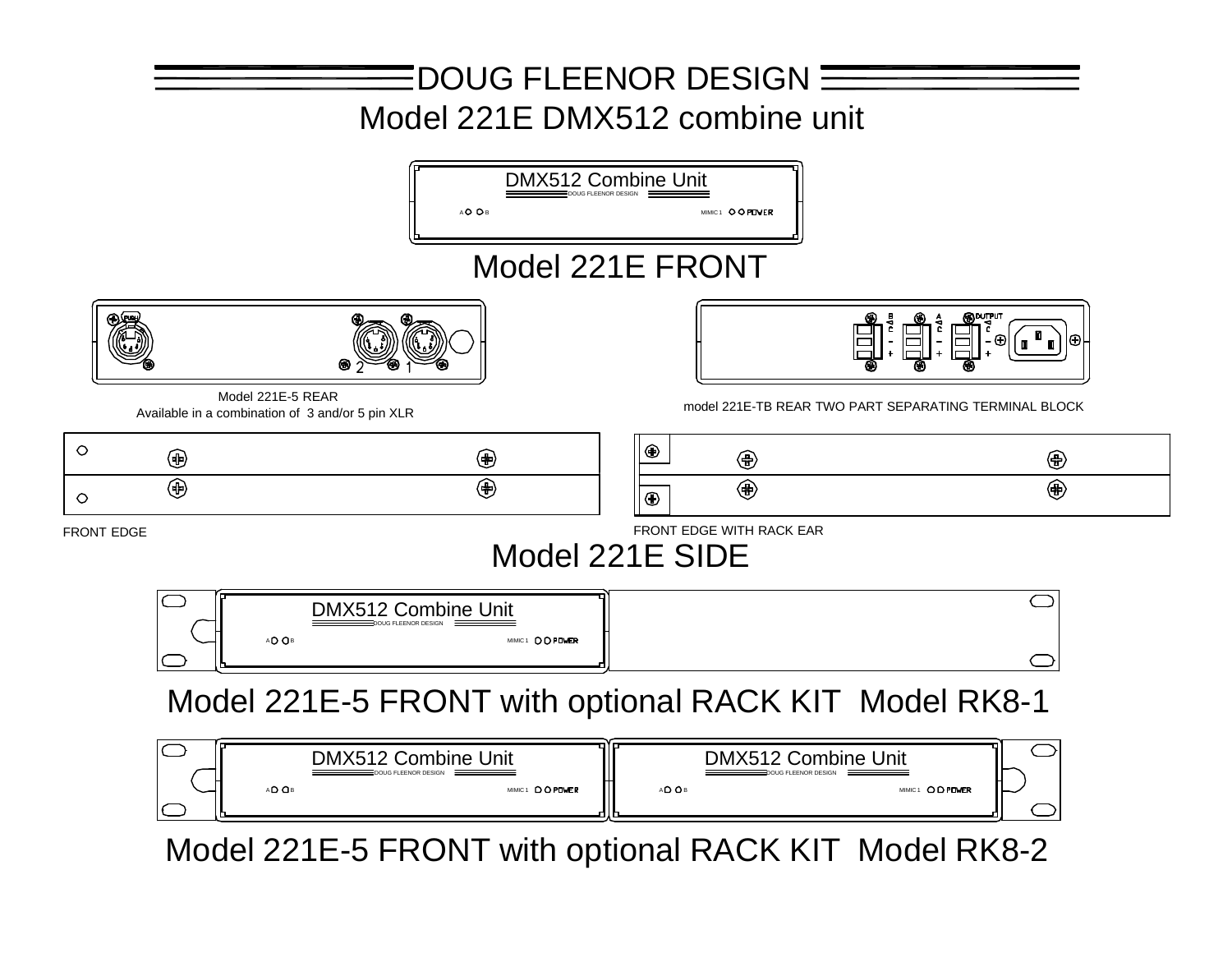

Model 221E-5 FRONT with optional RACK KIT Model RK8-2